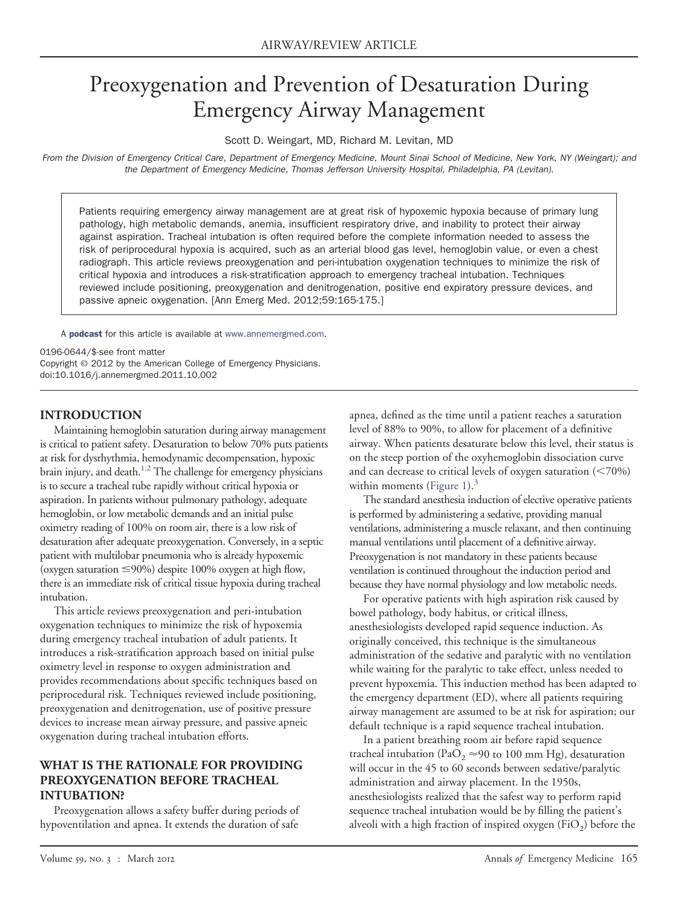# Preoxygenation and Prevention of Desaturation During Emergency Airway Management

Scott D. Weingart, MD, Richard M. Levitan, MD

*From the Division of Emergency Critical Care, Department of Emergency Medicine, Mount Sinai School of Medicine, New York, NY (Weingart); and the Department of Emergency Medicine, Thomas Jefferson University Hospital, Philadelphia, PA (Levitan).*

Patients requiring emergency airway management are at great risk of hypoxemic hypoxia because of primary lung pathology, high metabolic demands, anemia, insufficient respiratory drive, and inability to protect their airway against aspiration. Tracheal intubation is often required before the complete information needed to assess the risk of periprocedural hypoxia is acquired, such as an arterial blood gas level, hemoglobin value, or even a chest radiograph. This article reviews preoxygenation and peri-intubation oxygenation techniques to minimize the risk of critical hypoxia and introduces a risk-stratification approach to emergency tracheal intubation. Techniques reviewed include positioning, preoxygenation and denitrogenation, positive end expiratory pressure devices, and passive apneic oxygenation. [Ann Emerg Med. 2012;59:165-175.]

A [podcast](http://annemergmed.com/content/podcast) for this article is available at [www.annemergmed.com.](http://www.annemergmed.com)

0196-0644/\$-see front matter Copyright © 2012 by the American College of Emergency Physicians. doi:10.1016/j.annemergmed.2011.10.002

### **INTRODUCTION**

Maintaining hemoglobin saturation during airway management is critical to patient safety. Desaturation to below 70% puts patients at risk for dysrhythmia, hemodynamic decompensation, hypoxic brain injury, and death.<sup>1,2</sup> The challenge for emergency physicians is to secure a tracheal tube rapidly without critical hypoxia or aspiration. In patients without pulmonary pathology, adequate hemoglobin, or low metabolic demands and an initial pulse oximetry reading of 100% on room air, there is a low risk of desaturation after adequate preoxygenation. Conversely, in a septic patient with multilobar pneumonia who is already hypoxemic (oxygen saturation  $\leq$ 90%) despite 100% oxygen at high flow, there is an immediate risk of critical tissue hypoxia during tracheal intubation.

This article reviews preoxygenation and peri-intubation oxygenation techniques to minimize the risk of hypoxemia during emergency tracheal intubation of adult patients. It introduces a risk-stratification approach based on initial pulse oximetry level in response to oxygen administration and provides recommendations about specific techniques based on periprocedural risk. Techniques reviewed include positioning, preoxygenation and denitrogenation, use of positive pressure devices to increase mean airway pressure, and passive apneic oxygenation during tracheal intubation efforts.

### **WHAT IS THE RATIONALE FOR PROVIDING PREOXYGENATION BEFORE TRACHEAL INTUBATION?**

Preoxygenation allows a safety buffer during periods of hypoventilation and apnea. It extends the duration of safe

apnea, defined as the time until a patient reaches a saturation level of 88% to 90%, to allow for placement of a definitive airway. When patients desaturate below this level, their status is on the steep portion of the oxyhemoglobin dissociation curve and can decrease to critical levels of oxygen saturation  $(<70\%)$ within moments [\(Figure 1\)](#page-1-0). $3$ 

The standard anesthesia induction of elective operative patients is performed by administering a sedative, providing manual ventilations, administering a muscle relaxant, and then continuing manual ventilations until placement of a definitive airway. Preoxygenation is not mandatory in these patients because ventilation is continued throughout the induction period and because they have normal physiology and low metabolic needs.

For operative patients with high aspiration risk caused by bowel pathology, body habitus, or critical illness, anesthesiologists developed rapid sequence induction. As originally conceived, this technique is the simultaneous administration of the sedative and paralytic with no ventilation while waiting for the paralytic to take effect, unless needed to prevent hypoxemia. This induction method has been adapted to the emergency department (ED), where all patients requiring airway management are assumed to be at risk for aspiration; our default technique is a rapid sequence tracheal intubation.

In a patient breathing room air before rapid sequence tracheal intubation (PaO<sub>2</sub>  $\approx$ 90 to 100 mm Hg), desaturation will occur in the 45 to 60 seconds between sedative/paralytic administration and airway placement. In the 1950s, anesthesiologists realized that the safest way to perform rapid sequence tracheal intubation would be by filling the patient's alveoli with a high fraction of inspired oxygen  $(FiO<sub>2</sub>)$  before the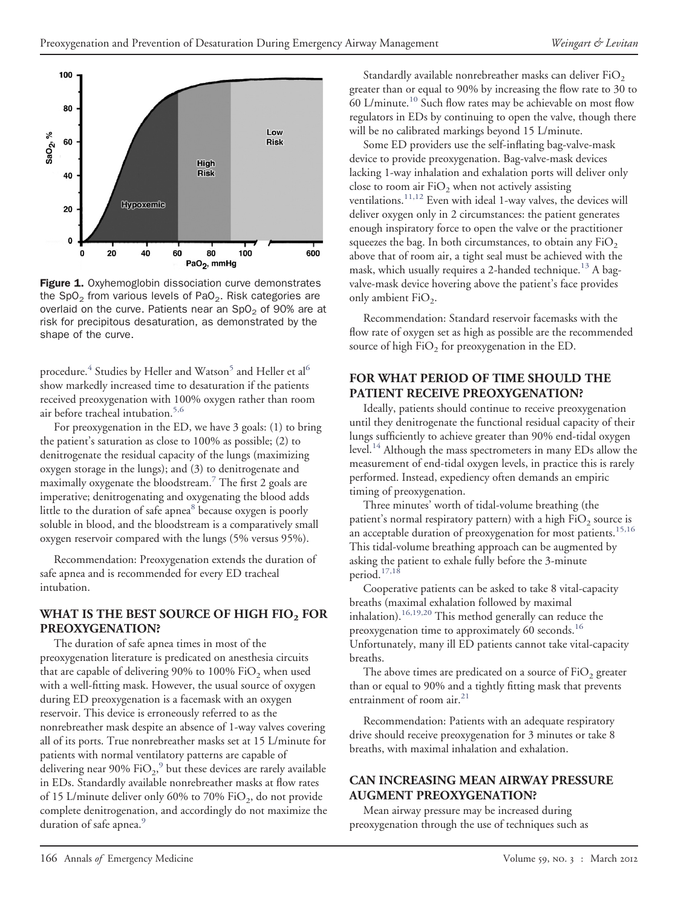

<span id="page-1-0"></span>Figure 1. Oxyhemoglobin dissociation curve demonstrates the SpO<sub>2</sub> from various levels of PaO<sub>2</sub>. Risk categories are overlaid on the curve. Patients near an  $SpO<sub>2</sub>$  of 90% are at risk for precipitous desaturation, as demonstrated by the shape of the curve.

procedure.<sup>[4](#page-8-2)</sup> Studies by Heller and Watson<sup>[5](#page-8-3)</sup> and Heller et al<sup>[6](#page-8-4)</sup> show markedly increased time to desaturation if the patients received preoxygenation with 100% oxygen rather than room air before tracheal intubation.<sup>[5,6](#page-8-3)</sup>

For preoxygenation in the ED, we have 3 goals: (1) to bring the patient's saturation as close to 100% as possible; (2) to denitrogenate the residual capacity of the lungs (maximizing oxygen storage in the lungs); and (3) to denitrogenate and maximally oxygenate the bloodstream.[7](#page-8-5) The first 2 goals are imperative; denitrogenating and oxygenating the blood adds little to the duration of safe apnea $^8$  because oxygen is poorly soluble in blood, and the bloodstream is a comparatively small oxygen reservoir compared with the lungs (5% versus 95%).

Recommendation: Preoxygenation extends the duration of safe apnea and is recommended for every ED tracheal intubation.

# **WHAT IS THE BEST SOURCE OF HIGH FIO2 FOR PREOXYGENATION?**

The duration of safe apnea times in most of the preoxygenation literature is predicated on anesthesia circuits that are capable of delivering 90% to 100%  $FiO<sub>2</sub>$  when used with a well-fitting mask. However, the usual source of oxygen during ED preoxygenation is a facemask with an oxygen reservoir. This device is erroneously referred to as the nonrebreather mask despite an absence of 1-way valves covering all of its ports. True nonrebreather masks set at 15 L/minute for patients with normal ventilatory patterns are capable of delivering near [9](#page-8-7)0%  $\mathrm{FiO_2}^9$  but these devices are rarely available in EDs. Standardly available nonrebreather masks at flow rates of 15 L/minute deliver only 60% to 70%  $FiO<sub>2</sub>$ , do not provide complete denitrogenation, and accordingly do not maximize the duration of safe apnea.<sup>9</sup>

Standardly available nonrebreather masks can deliver  $FiO_2$ greater than or equal to 90% by increasing the flow rate to 30 to 60 L/minute.<sup>[10](#page-8-8)</sup> Such flow rates may be achievable on most flow regulators in EDs by continuing to open the valve, though there will be no calibrated markings beyond 15 L/minute.

Some ED providers use the self-inflating bag-valve-mask device to provide preoxygenation. Bag-valve-mask devices lacking 1-way inhalation and exhalation ports will deliver only close to room air  $\rm{FiO}_2$  when not actively assisting ventilations.<sup>11,12</sup> Even with ideal 1-way valves, the devices will deliver oxygen only in 2 circumstances: the patient generates enough inspiratory force to open the valve or the practitioner squeezes the bag. In both circumstances, to obtain any  $FiO<sub>2</sub>$ above that of room air, a tight seal must be achieved with the mask, which usually requires a 2-handed technique.<sup>[13](#page-8-10)</sup> A bagvalve-mask device hovering above the patient's face provides only ambient  $FiO<sub>2</sub>$ .

Recommendation: Standard reservoir facemasks with the flow rate of oxygen set as high as possible are the recommended source of high  $FiO<sub>2</sub>$  for preoxygenation in the ED.

#### **FOR WHAT PERIOD OF TIME SHOULD THE PATIENT RECEIVE PREOXYGENATION?**

Ideally, patients should continue to receive preoxygenation until they denitrogenate the functional residual capacity of their lungs sufficiently to achieve greater than 90% end-tidal oxygen level.[14](#page-8-11) Although the mass spectrometers in many EDs allow the measurement of end-tidal oxygen levels, in practice this is rarely performed. Instead, expediency often demands an empiric timing of preoxygenation.

Three minutes' worth of tidal-volume breathing (the patient's normal respiratory pattern) with a high  $FiO_2$  source is an acceptable duration of preoxygenation for most patients.[15,16](#page-8-12) This tidal-volume breathing approach can be augmented by asking the patient to exhale fully before the 3-minute period.[17,18](#page-8-13)

Cooperative patients can be asked to take 8 vital-capacity breaths (maximal exhalation followed by maximal inhalation).[16,19,20](#page-8-14) This method generally can reduce the preoxygenation time to approximately 60 seconds.<sup>[16](#page-8-14)</sup> Unfortunately, many ill ED patients cannot take vital-capacity breaths.

The above times are predicated on a source of  $FiO<sub>2</sub>$  greater than or equal to 90% and a tightly fitting mask that prevents entrainment of room air.<sup>[21](#page-8-15)</sup>

Recommendation: Patients with an adequate respiratory drive should receive preoxygenation for 3 minutes or take 8 breaths, with maximal inhalation and exhalation.

#### **CAN INCREASING MEAN AIRWAY PRESSURE AUGMENT PREOXYGENATION?**

Mean airway pressure may be increased during preoxygenation through the use of techniques such as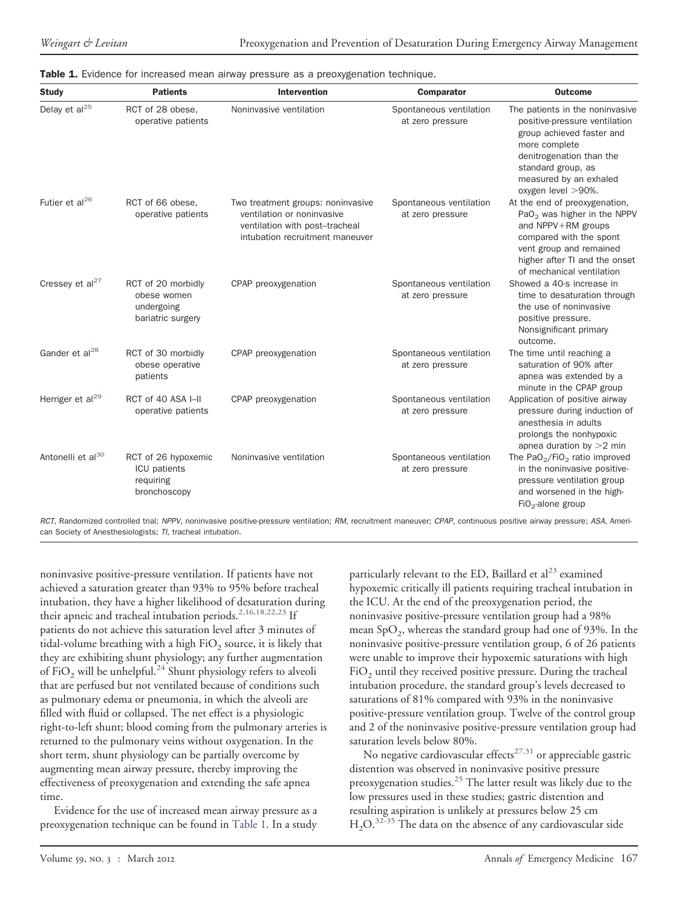| <b>Study</b>                  | <b>Patients</b>                                                      | <b>Intervention</b>                                                                                                                  | <b>Comparator</b>                           | <b>Outcome</b>                                                                                                                                                                                                     |
|-------------------------------|----------------------------------------------------------------------|--------------------------------------------------------------------------------------------------------------------------------------|---------------------------------------------|--------------------------------------------------------------------------------------------------------------------------------------------------------------------------------------------------------------------|
| Delay et al <sup>25</sup>     | RCT of 28 obese,<br>operative patients                               | Noninvasive ventilation                                                                                                              | Spontaneous ventilation<br>at zero pressure | The patients in the noninvasive<br>positive-pressure ventilation<br>group achieved faster and<br>more complete<br>denitrogenation than the<br>standard group, as<br>measured by an exhaled<br>oxygen level >90%.   |
| Futier et al <sup>26</sup>    | RCT of 66 obese,<br>operative patients                               | Two treatment groups: noninvasive<br>ventilation or noninvasive<br>ventilation with post-tracheal<br>intubation recruitment maneuver | Spontaneous ventilation<br>at zero pressure | At the end of preoxygenation,<br>PaO <sub>2</sub> was higher in the NPPV<br>and NPPV+RM groups<br>compared with the spont<br>vent group and remained<br>higher after TI and the onset<br>of mechanical ventilation |
| Cressey et al <sup>27</sup>   | RCT of 20 morbidly<br>obese women<br>undergoing<br>bariatric surgery | CPAP preoxygenation                                                                                                                  | Spontaneous ventilation<br>at zero pressure | Showed a 40-s increase in<br>time to desaturation through<br>the use of noninvasive<br>positive pressure.<br>Nonsignificant primary<br>outcome.                                                                    |
| Gander et $al^{28}$           | RCT of 30 morbidly<br>obese operative<br>patients                    | CPAP preoxygenation                                                                                                                  | Spontaneous ventilation<br>at zero pressure | The time until reaching a<br>saturation of 90% after<br>apnea was extended by a<br>minute in the CPAP group                                                                                                        |
| Herriger et al <sup>29</sup>  | RCT of 40 ASA I-II<br>operative patients                             | CPAP preoxygenation                                                                                                                  | Spontaneous ventilation<br>at zero pressure | Application of positive airway<br>pressure during induction of<br>anesthesia in adults<br>prolongs the nonhypoxic<br>apnea duration by $>2$ min                                                                    |
| Antonelli et al <sup>30</sup> | RCT of 26 hypoxemic<br>ICU patients<br>requiring<br>bronchoscopy     | Noninvasive ventilation                                                                                                              | Spontaneous ventilation<br>at zero pressure | The PaO <sub>2</sub> /FiO <sub>2</sub> ratio improved<br>in the noninvasive positive-<br>pressure ventilation group<br>and worsened in the high-<br>$FiO2$ -alone group                                            |

<span id="page-2-0"></span>

|  |  |  |  | <b>Table 1.</b> Evidence for increased mean airway pressure as a preoxygenation technique. |  |
|--|--|--|--|--------------------------------------------------------------------------------------------|--|

*RCT*, Randomized controlled trial; *NPPV*, noninvasive positive-pressure ventilation; *RM*, recruitment maneuver; *CPAP*, continuous positive airway pressure; *ASA*, American Society of Anesthesiologists; *TI*, tracheal intubation.

noninvasive positive-pressure ventilation. If patients have not achieved a saturation greater than 93% to 95% before tracheal intubation, they have a higher likelihood of desaturation during their apneic and tracheal intubation periods.<sup>[2,16,18,22,23](#page-8-16)</sup> If patients do not achieve this saturation level after 3 minutes of tidal-volume breathing with a high  $FiO<sub>2</sub>$  source, it is likely that they are exhibiting shunt physiology; any further augmentation of FiO<sub>2</sub> will be unhelpful.<sup>[24](#page-8-17)</sup> Shunt physiology refers to alveoli that are perfused but not ventilated because of conditions such as pulmonary edema or pneumonia, in which the alveoli are filled with fluid or collapsed. The net effect is a physiologic right-to-left shunt; blood coming from the pulmonary arteries is returned to the pulmonary veins without oxygenation. In the short term, shunt physiology can be partially overcome by augmenting mean airway pressure, thereby improving the effectiveness of preoxygenation and extending the safe apnea time.

Evidence for the use of increased mean airway pressure as a preoxygenation technique can be found in [Table 1.](#page-2-0) In a study

particularly relevant to the ED, Baillard et al<sup>[23](#page-8-18)</sup> examined hypoxemic critically ill patients requiring tracheal intubation in the ICU. At the end of the preoxygenation period, the noninvasive positive-pressure ventilation group had a 98% mean  $SpO<sub>2</sub>$ , whereas the standard group had one of 93%. In the noninvasive positive-pressure ventilation group, 6 of 26 patients were unable to improve their hypoxemic saturations with high  $FiO<sub>2</sub>$  until they received positive pressure. During the tracheal intubation procedure, the standard group's levels decreased to saturations of 81% compared with 93% in the noninvasive positive-pressure ventilation group. Twelve of the control group and 2 of the noninvasive positive-pressure ventilation group had saturation levels below 80%.

No negative cardiovascular effects<sup>[27,31](#page-8-19)</sup> or appreciable gastric distention was observed in noninvasive positive pressure preoxygenation studies. $^{25}$  $^{25}$  $^{25}$  The latter result was likely due to the low pressures used in these studies; gastric distention and resulting aspiration is unlikely at pressures below 25 cm  $H<sub>2</sub>O<sub>32-35</sub>$  $H<sub>2</sub>O<sub>32-35</sub>$  $H<sub>2</sub>O<sub>32-35</sub>$  The data on the absence of any cardiovascular side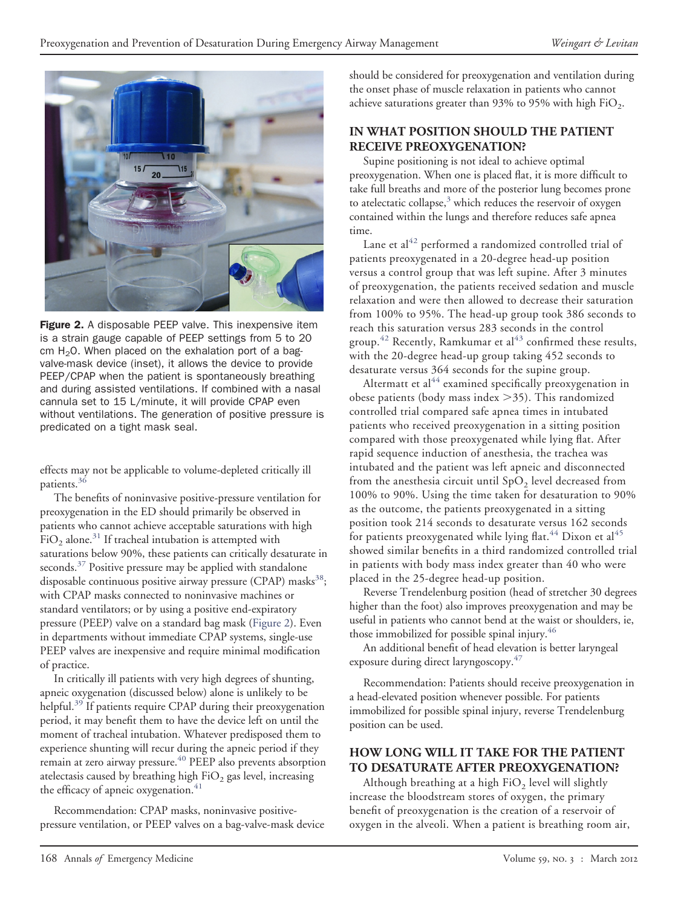

Figure 2. A disposable PEEP valve. This inexpensive item is a strain gauge capable of PEEP settings from 5 to 20 cm  $H_2O$ . When placed on the exhalation port of a bagvalve-mask device (inset), it allows the device to provide PEEP/CPAP when the patient is spontaneously breathing and during assisted ventilations. If combined with a nasal cannula set to 15 L/minute, it will provide CPAP even without ventilations. The generation of positive pressure is predicated on a tight mask seal.

<span id="page-3-0"></span>effects may not be applicable to volume-depleted critically ill patients.<sup>[36](#page-9-0)</sup>

The benefits of noninvasive positive-pressure ventilation for preoxygenation in the ED should primarily be observed in patients who cannot achieve acceptable saturations with high  $FiO<sub>2</sub>$  alone.<sup>[31](#page-8-26)</sup> If tracheal intubation is attempted with saturations below 90%, these patients can critically desaturate in seconds. $37$  Positive pressure may be applied with standalone disposable continuous positive airway pressure (CPAP) masks $^{38}$ ; with CPAP masks connected to noninvasive machines or standard ventilators; or by using a positive end-expiratory pressure (PEEP) valve on a standard bag mask [\(Figure 2\)](#page-3-0). Even in departments without immediate CPAP systems, single-use PEEP valves are inexpensive and require minimal modification of practice.

In critically ill patients with very high degrees of shunting, apneic oxygenation (discussed below) alone is unlikely to be helpful.<sup>[39](#page-9-3)</sup> If patients require CPAP during their preoxygenation period, it may benefit them to have the device left on until the moment of tracheal intubation. Whatever predisposed them to experience shunting will recur during the apneic period if they remain at zero airway pressure.<sup>[40](#page-9-4)</sup> PEEP also prevents absorption atelectasis caused by breathing high  $FiO<sub>2</sub>$  gas level, increasing the efficacy of apneic oxygenation. $41$ 

Recommendation: CPAP masks, noninvasive positivepressure ventilation, or PEEP valves on a bag-valve-mask device should be considered for preoxygenation and ventilation during the onset phase of muscle relaxation in patients who cannot achieve saturations greater than 93% to 95% with high  $FiO_2$ .

# **IN WHAT POSITION SHOULD THE PATIENT RECEIVE PREOXYGENATION?**

Supine positioning is not ideal to achieve optimal preoxygenation. When one is placed flat, it is more difficult to take full breaths and more of the posterior lung becomes prone to atelectatic collapse, $3$  which reduces the reservoir of oxygen contained within the lungs and therefore reduces safe apnea time.

Lane et al<sup>[42](#page-9-6)</sup> performed a randomized controlled trial of patients preoxygenated in a 20-degree head-up position versus a control group that was left supine. After 3 minutes of preoxygenation, the patients received sedation and muscle relaxation and were then allowed to decrease their saturation from 100% to 95%. The head-up group took 386 seconds to reach this saturation versus 283 seconds in the control group.<sup>[42](#page-9-6)</sup> Recently, Ramkumar et al<sup>[43](#page-9-7)</sup> confirmed these results, with the 20-degree head-up group taking 452 seconds to desaturate versus 364 seconds for the supine group.

Altermatt et al $^{44}$  $^{44}$  $^{44}$  examined specifically preoxygenation in obese patients (body mass index 35). This randomized controlled trial compared safe apnea times in intubated patients who received preoxygenation in a sitting position compared with those preoxygenated while lying flat. After rapid sequence induction of anesthesia, the trachea was intubated and the patient was left apneic and disconnected from the anesthesia circuit until Sp $O_2$  level decreased from 100% to 90%. Using the time taken for desaturation to 90% as the outcome, the patients preoxygenated in a sitting position took 214 seconds to desaturate versus 162 seconds for patients preoxygenated while lying flat.<sup>[44](#page-9-8)</sup> Dixon et al<sup>[45](#page-9-9)</sup> showed similar benefits in a third randomized controlled trial in patients with body mass index greater than 40 who were placed in the 25-degree head-up position.

Reverse Trendelenburg position (head of stretcher 30 degrees higher than the foot) also improves preoxygenation and may be useful in patients who cannot bend at the waist or shoulders, ie, those immobilized for possible spinal injury.<sup>[46](#page-9-10)</sup>

An additional benefit of head elevation is better laryngeal exposure during direct laryngoscopy.<sup>[47](#page-9-11)</sup>

Recommendation: Patients should receive preoxygenation in a head-elevated position whenever possible. For patients immobilized for possible spinal injury, reverse Trendelenburg position can be used.

## **HOW LONG WILL IT TAKE FOR THE PATIENT TO DESATURATE AFTER PREOXYGENATION?**

Although breathing at a high  $FiO<sub>2</sub>$  level will slightly increase the bloodstream stores of oxygen, the primary benefit of preoxygenation is the creation of a reservoir of oxygen in the alveoli. When a patient is breathing room air,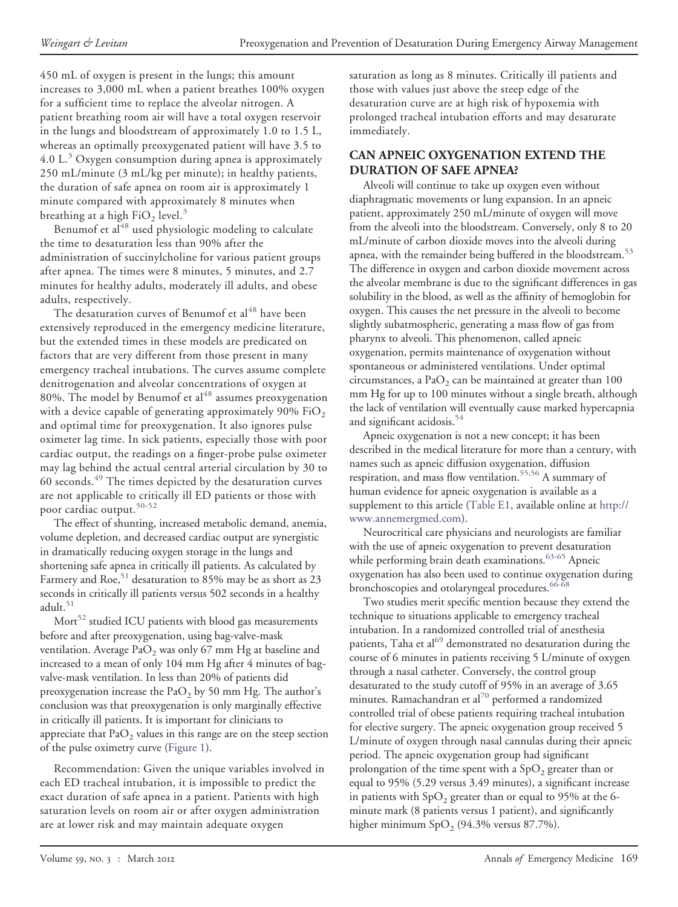450 mL of oxygen is present in the lungs; this amount increases to 3,000 mL when a patient breathes 100% oxygen for a sufficient time to replace the alveolar nitrogen. A patient breathing room air will have a total oxygen reservoir in the lungs and bloodstream of approximately 1.0 to 1.5 L, whereas an optimally preoxygenated patient will have 3.5 to 4.0  $L^3$  $L^3$  Oxygen consumption during apnea is approximately 250 mL/minute (3 mL/kg per minute); in healthy patients, the duration of safe apnea on room air is approximately 1 minute compared with approximately 8 minutes when breathing at a high  $FiO<sub>2</sub>$  level.<sup>[3](#page-8-1)</sup>

Benumof et al<sup>[48](#page-9-12)</sup> used physiologic modeling to calculate the time to desaturation less than 90% after the administration of succinylcholine for various patient groups after apnea. The times were 8 minutes, 5 minutes, and 2.7 minutes for healthy adults, moderately ill adults, and obese adults, respectively.

The desaturation curves of Benumof et al<sup>[48](#page-9-12)</sup> have been extensively reproduced in the emergency medicine literature, but the extended times in these models are predicated on factors that are very different from those present in many emergency tracheal intubations. The curves assume complete denitrogenation and alveolar concentrations of oxygen at 80%. The model by Benumof et  $al<sup>48</sup>$  $al<sup>48</sup>$  $al<sup>48</sup>$  assumes preoxygenation with a device capable of generating approximately 90%  $FiO<sub>2</sub>$ and optimal time for preoxygenation. It also ignores pulse oximeter lag time. In sick patients, especially those with poor cardiac output, the readings on a finger-probe pulse oximeter may lag behind the actual central arterial circulation by 30 to 60 seconds. $49$  The times depicted by the desaturation curves are not applicable to critically ill ED patients or those with poor cardiac output.<sup>[50-52](#page-9-14)</sup>

The effect of shunting, increased metabolic demand, anemia, volume depletion, and decreased cardiac output are synergistic in dramatically reducing oxygen storage in the lungs and shortening safe apnea in critically ill patients. As calculated by Farmery and Roe,  $51$  desaturation to 85% may be as short as 23 seconds in critically ill patients versus 502 seconds in a healthy adult.<sup>51</sup>

Mort $52$  studied ICU patients with blood gas measurements before and after preoxygenation, using bag-valve-mask ventilation. Average  $PaO<sub>2</sub>$  was only 67 mm Hg at baseline and increased to a mean of only 104 mm Hg after 4 minutes of bagvalve-mask ventilation. In less than 20% of patients did preoxygenation increase the  $PaO<sub>2</sub>$  by 50 mm Hg. The author's conclusion was that preoxygenation is only marginally effective in critically ill patients. It is important for clinicians to appreciate that  $PaO<sub>2</sub>$  values in this range are on the steep section of the pulse oximetry curve [\(Figure 1\)](#page-1-0).

Recommendation: Given the unique variables involved in each ED tracheal intubation, it is impossible to predict the exact duration of safe apnea in a patient. Patients with high saturation levels on room air or after oxygen administration are at lower risk and may maintain adequate oxygen

saturation as long as 8 minutes. Critically ill patients and those with values just above the steep edge of the desaturation curve are at high risk of hypoxemia with prolonged tracheal intubation efforts and may desaturate immediately.

# **CAN APNEIC OXYGENATION EXTEND THE DURATION OF SAFE APNEA?**

Alveoli will continue to take up oxygen even without diaphragmatic movements or lung expansion. In an apneic patient, approximately 250 mL/minute of oxygen will move from the alveoli into the bloodstream. Conversely, only 8 to 20 mL/minute of carbon dioxide moves into the alveoli during apnea, with the remainder being buffered in the bloodstream.<sup>[53](#page-9-17)</sup> The difference in oxygen and carbon dioxide movement across the alveolar membrane is due to the significant differences in gas solubility in the blood, as well as the affinity of hemoglobin for oxygen. This causes the net pressure in the alveoli to become slightly subatmospheric, generating a mass flow of gas from pharynx to alveoli. This phenomenon, called apneic oxygenation, permits maintenance of oxygenation without spontaneous or administered ventilations. Under optimal circumstances, a PaO<sub>2</sub> can be maintained at greater than  $100$ mm Hg for up to 100 minutes without a single breath, although the lack of ventilation will eventually cause marked hypercapnia and significant acidosis.<sup>[54](#page-9-18)</sup>

Apneic oxygenation is not a new concept; it has been described in the medical literature for more than a century, with names such as apneic diffusion oxygenation, diffusion respiration, and mass flow ventilation.<sup>[55,56](#page-9-19)</sup> A summary of human evidence for apneic oxygenation is available as a supplement to this article [\(Table E1,](#page-11-0) available online at [http://](http://www.annemergmed.com) [www.annemergmed.com\)](http://www.annemergmed.com).

Neurocritical care physicians and neurologists are familiar with the use of apneic oxygenation to prevent desaturation while performing brain death examinations.<sup>[63-65](#page-9-20)</sup> Apneic oxygenation has also been used to continue oxygenation during bronchoscopies and otolaryngeal procedures.<sup>[66-68](#page-9-21)</sup>

Two studies merit specific mention because they extend the technique to situations applicable to emergency tracheal intubation. In a randomized controlled trial of anesthesia patients, Taha et al<sup>[69](#page-9-22)</sup> demonstrated no desaturation during the course of 6 minutes in patients receiving 5 L/minute of oxygen through a nasal catheter. Conversely, the control group desaturated to the study cutoff of 95% in an average of 3.65 minutes. Ramachandran et al $^{70}$  $^{70}$  $^{70}$  performed a randomized controlled trial of obese patients requiring tracheal intubation for elective surgery. The apneic oxygenation group received 5 L/minute of oxygen through nasal cannulas during their apneic period. The apneic oxygenation group had significant prolongation of the time spent with a  $SpO<sub>2</sub>$  greater than or equal to 95% (5.29 versus 3.49 minutes), a significant increase in patients with  $SpO<sub>2</sub>$  greater than or equal to 95% at the 6minute mark (8 patients versus 1 patient), and significantly higher minimum  $SpO<sub>2</sub>$  (94.3% versus 87.7%).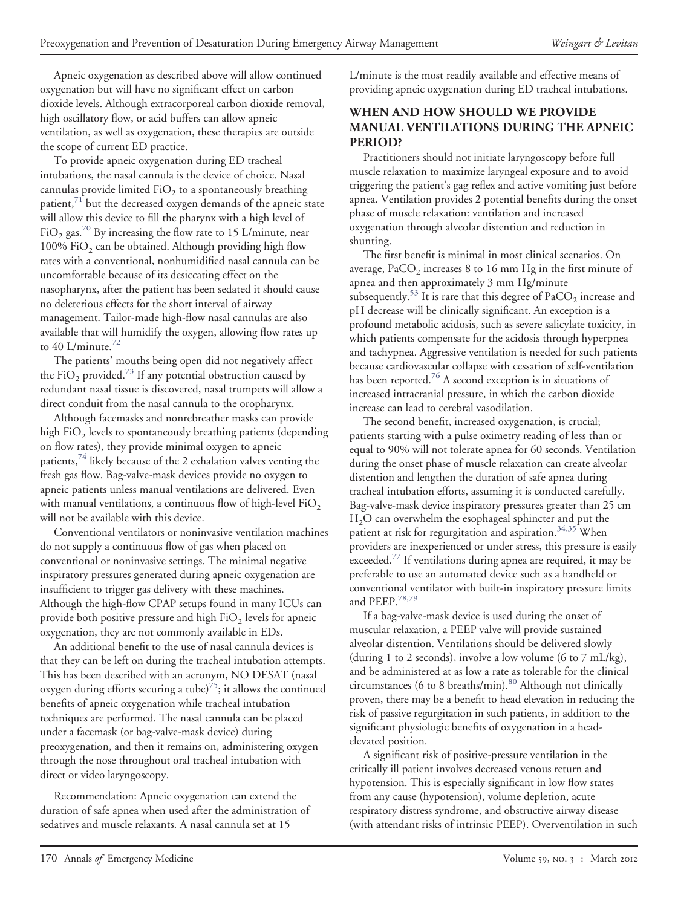Apneic oxygenation as described above will allow continued oxygenation but will have no significant effect on carbon dioxide levels. Although extracorporeal carbon dioxide removal, high oscillatory flow, or acid buffers can allow apneic ventilation, as well as oxygenation, these therapies are outside the scope of current ED practice.

To provide apneic oxygenation during ED tracheal intubations, the nasal cannula is the device of choice. Nasal cannulas provide limited  $FiO<sub>2</sub>$  to a spontaneously breathing patient, $71$  but the decreased oxygen demands of the apneic state will allow this device to fill the pharynx with a high level of FiO<sub>2</sub> gas.<sup>[70](#page-9-23)</sup> By increasing the flow rate to 15 L/minute, near 100%  $FiO<sub>2</sub>$  can be obtained. Although providing high flow rates with a conventional, nonhumidified nasal cannula can be uncomfortable because of its desiccating effect on the nasopharynx, after the patient has been sedated it should cause no deleterious effects for the short interval of airway management. Tailor-made high-flow nasal cannulas are also available that will humidify the oxygen, allowing flow rates up to 40 L/minute. $72$ 

The patients' mouths being open did not negatively affect the FiO<sub>2</sub> provided.<sup>[73](#page-9-26)</sup> If any potential obstruction caused by redundant nasal tissue is discovered, nasal trumpets will allow a direct conduit from the nasal cannula to the oropharynx.

Although facemasks and nonrebreather masks can provide high  $FiO<sub>2</sub>$  levels to spontaneously breathing patients (depending on flow rates), they provide minimal oxygen to apneic patients, $^{74}$  likely because of the 2 exhalation valves venting the fresh gas flow. Bag-valve-mask devices provide no oxygen to apneic patients unless manual ventilations are delivered. Even with manual ventilations, a continuous flow of high-level  $FiO<sub>2</sub>$ will not be available with this device.

Conventional ventilators or noninvasive ventilation machines do not supply a continuous flow of gas when placed on conventional or noninvasive settings. The minimal negative inspiratory pressures generated during apneic oxygenation are insufficient to trigger gas delivery with these machines. Although the high-flow CPAP setups found in many ICUs can provide both positive pressure and high  $FiO<sub>2</sub>$  levels for apneic oxygenation, they are not commonly available in EDs.

An additional benefit to the use of nasal cannula devices is that they can be left on during the tracheal intubation attempts. This has been described with an acronym, NO DESAT (nasal oxygen during efforts securing a tube) $\frac{1}{2}$ ; it allows the continued benefits of apneic oxygenation while tracheal intubation techniques are performed. The nasal cannula can be placed under a facemask (or bag-valve-mask device) during preoxygenation, and then it remains on, administering oxygen through the nose throughout oral tracheal intubation with direct or video laryngoscopy.

Recommendation: Apneic oxygenation can extend the duration of safe apnea when used after the administration of sedatives and muscle relaxants. A nasal cannula set at 15

L/minute is the most readily available and effective means of providing apneic oxygenation during ED tracheal intubations.

### **WHEN AND HOW SHOULD WE PROVIDE MANUAL VENTILATIONS DURING THE APNEIC PERIOD?**

Practitioners should not initiate laryngoscopy before full muscle relaxation to maximize laryngeal exposure and to avoid triggering the patient's gag reflex and active vomiting just before apnea. Ventilation provides 2 potential benefits during the onset phase of muscle relaxation: ventilation and increased oxygenation through alveolar distention and reduction in shunting.

The first benefit is minimal in most clinical scenarios. On average,  $PaCO<sub>2</sub>$  increases 8 to 16 mm Hg in the first minute of apnea and then approximately 3 mm Hg/minute subsequently.<sup>53</sup> It is rare that this degree of  $PaCO<sub>2</sub>$  increase and pH decrease will be clinically significant. An exception is a profound metabolic acidosis, such as severe salicylate toxicity, in which patients compensate for the acidosis through hyperpnea and tachypnea. Aggressive ventilation is needed for such patients because cardiovascular collapse with cessation of self-ventilation has been reported.<sup>76</sup> A second exception is in situations of increased intracranial pressure, in which the carbon dioxide increase can lead to cerebral vasodilation.

The second benefit, increased oxygenation, is crucial; patients starting with a pulse oximetry reading of less than or equal to 90% will not tolerate apnea for 60 seconds. Ventilation during the onset phase of muscle relaxation can create alveolar distention and lengthen the duration of safe apnea during tracheal intubation efforts, assuming it is conducted carefully. Bag-valve-mask device inspiratory pressures greater than 25 cm H2O can overwhelm the esophageal sphincter and put the patient at risk for regurgitation and aspiration. $34,35$  When providers are inexperienced or under stress, this pressure is easily exceeded.<sup>[77](#page-10-0)</sup> If ventilations during apnea are required, it may be preferable to use an automated device such as a handheld or conventional ventilator with built-in inspiratory pressure limits and PEEP.<sup>[78,79](#page-10-1)</sup>

If a bag-valve-mask device is used during the onset of muscular relaxation, a PEEP valve will provide sustained alveolar distention. Ventilations should be delivered slowly (during 1 to 2 seconds), involve a low volume (6 to 7 mL/kg), and be administered at as low a rate as tolerable for the clinical circumstances (6 to 8 breaths/min).<sup>[80](#page-10-2)</sup> Although not clinically proven, there may be a benefit to head elevation in reducing the risk of passive regurgitation in such patients, in addition to the significant physiologic benefits of oxygenation in a headelevated position.

A significant risk of positive-pressure ventilation in the critically ill patient involves decreased venous return and hypotension. This is especially significant in low flow states from any cause (hypotension), volume depletion, acute respiratory distress syndrome, and obstructive airway disease (with attendant risks of intrinsic PEEP). Overventilation in such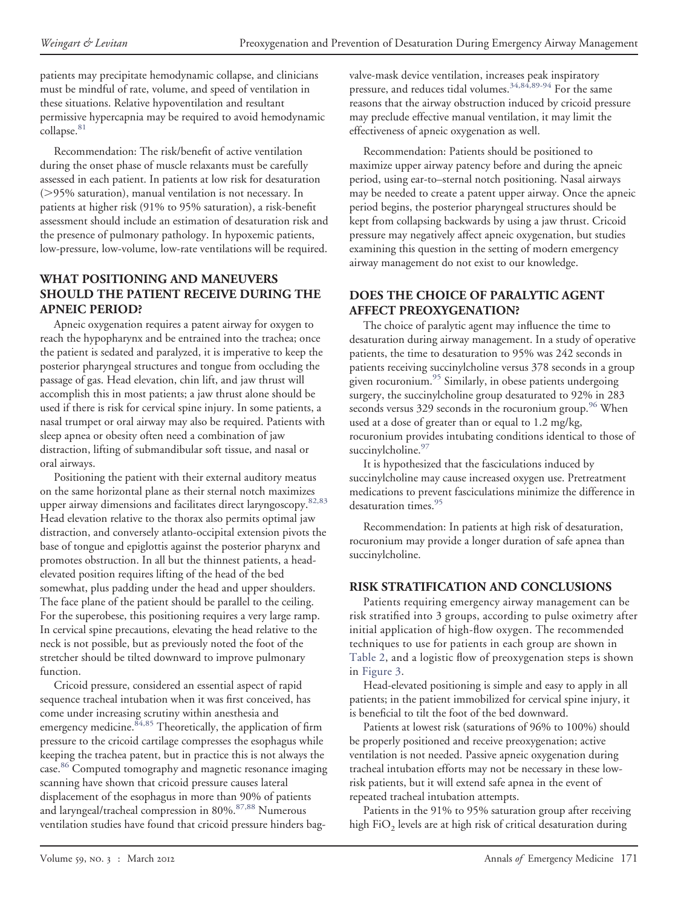patients may precipitate hemodynamic collapse, and clinicians must be mindful of rate, volume, and speed of ventilation in these situations. Relative hypoventilation and resultant permissive hypercapnia may be required to avoid hemodynamic collapse.<sup>[81](#page-10-3)</sup>

Recommendation: The risk/benefit of active ventilation during the onset phase of muscle relaxants must be carefully assessed in each patient. In patients at low risk for desaturation (95% saturation), manual ventilation is not necessary. In patients at higher risk (91% to 95% saturation), a risk-benefit assessment should include an estimation of desaturation risk and the presence of pulmonary pathology. In hypoxemic patients, low-pressure, low-volume, low-rate ventilations will be required.

## **WHAT POSITIONING AND MANEUVERS SHOULD THE PATIENT RECEIVE DURING THE APNEIC PERIOD?**

Apneic oxygenation requires a patent airway for oxygen to reach the hypopharynx and be entrained into the trachea; once the patient is sedated and paralyzed, it is imperative to keep the posterior pharyngeal structures and tongue from occluding the passage of gas. Head elevation, chin lift, and jaw thrust will accomplish this in most patients; a jaw thrust alone should be used if there is risk for cervical spine injury. In some patients, a nasal trumpet or oral airway may also be required. Patients with sleep apnea or obesity often need a combination of jaw distraction, lifting of submandibular soft tissue, and nasal or oral airways.

Positioning the patient with their external auditory meatus on the same horizontal plane as their sternal notch maximizes upper airway dimensions and facilitates direct laryngoscopy.<sup>[82,83](#page-10-4)</sup> Head elevation relative to the thorax also permits optimal jaw distraction, and conversely atlanto-occipital extension pivots the base of tongue and epiglottis against the posterior pharynx and promotes obstruction. In all but the thinnest patients, a headelevated position requires lifting of the head of the bed somewhat, plus padding under the head and upper shoulders. The face plane of the patient should be parallel to the ceiling. For the superobese, this positioning requires a very large ramp. In cervical spine precautions, elevating the head relative to the neck is not possible, but as previously noted the foot of the stretcher should be tilted downward to improve pulmonary function.

Cricoid pressure, considered an essential aspect of rapid sequence tracheal intubation when it was first conceived, has come under increasing scrutiny within anesthesia and emergency medicine.<sup>[84,85](#page-10-5)</sup> Theoretically, the application of firm pressure to the cricoid cartilage compresses the esophagus while keeping the trachea patent, but in practice this is not always the case.[86](#page-10-6) Computed tomography and magnetic resonance imaging scanning have shown that cricoid pressure causes lateral displacement of the esophagus in more than 90% of patients and laryngeal/tracheal compression in 80%.[87,88](#page-10-7) Numerous ventilation studies have found that cricoid pressure hinders bag-

valve-mask device ventilation, increases peak inspiratory pressure, and reduces tidal volumes.<sup>[34,84,89-94](#page-9-30)</sup> For the same reasons that the airway obstruction induced by cricoid pressure may preclude effective manual ventilation, it may limit the effectiveness of apneic oxygenation as well.

Recommendation: Patients should be positioned to maximize upper airway patency before and during the apneic period, using ear-to–sternal notch positioning. Nasal airways may be needed to create a patent upper airway. Once the apneic period begins, the posterior pharyngeal structures should be kept from collapsing backwards by using a jaw thrust. Cricoid pressure may negatively affect apneic oxygenation, but studies examining this question in the setting of modern emergency airway management do not exist to our knowledge.

# **DOES THE CHOICE OF PARALYTIC AGENT AFFECT PREOXYGENATION?**

The choice of paralytic agent may influence the time to desaturation during airway management. In a study of operative patients, the time to desaturation to 95% was 242 seconds in patients receiving succinylcholine versus 378 seconds in a group given rocuronium.<sup>[95](#page-10-8)</sup> Similarly, in obese patients undergoing surgery, the succinylcholine group desaturated to 92% in 283 seconds versus 329 seconds in the rocuronium group.<sup>[96](#page-10-9)</sup> When used at a dose of greater than or equal to 1.2 mg/kg, rocuronium provides intubating conditions identical to those of succinylcholine.<sup>[97](#page-10-10)</sup>

It is hypothesized that the fasciculations induced by succinylcholine may cause increased oxygen use. Pretreatment medications to prevent fasciculations minimize the difference in desaturation times.[95](#page-10-8)

Recommendation: In patients at high risk of desaturation, rocuronium may provide a longer duration of safe apnea than succinylcholine.

## **RISK STRATIFICATION AND CONCLUSIONS**

Patients requiring emergency airway management can be risk stratified into 3 groups, according to pulse oximetry after initial application of high-flow oxygen. The recommended techniques to use for patients in each group are shown in [Table 2,](#page-7-0) and a logistic flow of preoxygenation steps is shown in [Figure 3.](#page-7-1)

Head-elevated positioning is simple and easy to apply in all patients; in the patient immobilized for cervical spine injury, it is beneficial to tilt the foot of the bed downward.

Patients at lowest risk (saturations of 96% to 100%) should be properly positioned and receive preoxygenation; active ventilation is not needed. Passive apneic oxygenation during tracheal intubation efforts may not be necessary in these lowrisk patients, but it will extend safe apnea in the event of repeated tracheal intubation attempts.

Patients in the 91% to 95% saturation group after receiving high FiO<sub>2</sub> levels are at high risk of critical desaturation during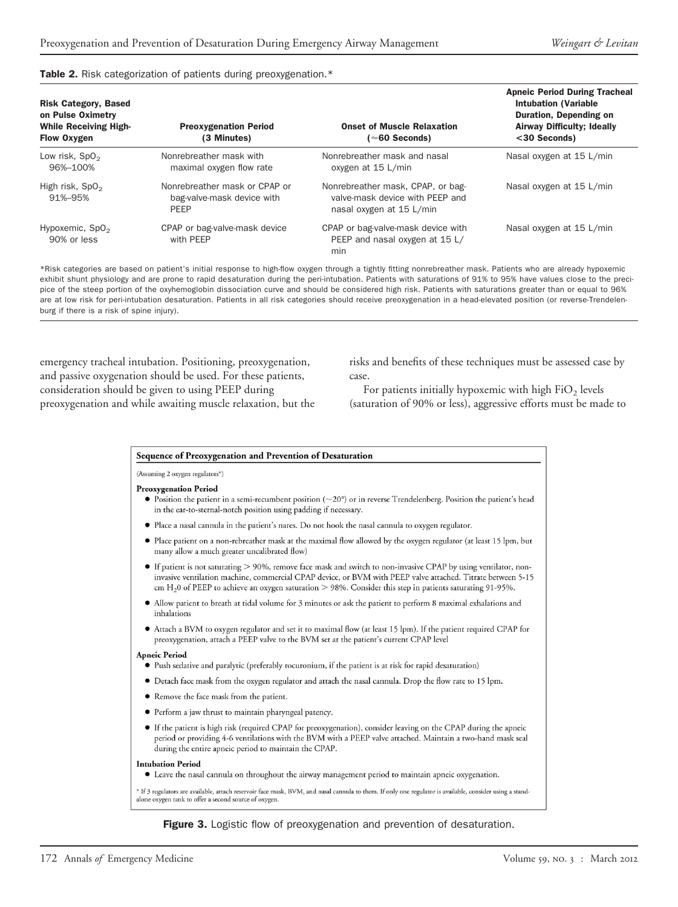#### <span id="page-7-0"></span>Table 2. Risk categorization of patients during preoxygenation.\*

| Risk Category, Based<br>on Pulse Oximetry<br><b>While Receiving High-</b><br><b>Flow Oxygen</b> | <b>Preoxygenation Period</b><br>(3 Minutes)                         | <b>Onset of Muscle Relaxation</b><br>$(\approx 60$ Seconds)                                      | <b>Apneic Period During Tracheal</b><br><b>Intubation (Variable</b><br>Duration, Depending on<br><b>Airway Difficulty; Ideally</b><br>$<$ 30 Seconds) |
|-------------------------------------------------------------------------------------------------|---------------------------------------------------------------------|--------------------------------------------------------------------------------------------------|-------------------------------------------------------------------------------------------------------------------------------------------------------|
| Low risk, $SpO2$<br>96%-100%                                                                    | Nonrebreather mask with<br>maximal oxygen flow rate                 | Nonrebreather mask and nasal<br>oxygen at 15 L/min                                               | Nasal oxygen at 15 L/min                                                                                                                              |
| High risk, $SpO2$<br>91%-95%                                                                    | Nonrebreather mask or CPAP or<br>bag-valve-mask device with<br>PEEP | Nonrebreather mask, CPAP, or bag-<br>valve-mask device with PEEP and<br>nasal oxygen at 15 L/min | Nasal oxygen at 15 L/min                                                                                                                              |
| Hypoxemic, $SpO2$<br>90% or less                                                                | CPAP or bag-valve-mask device<br>with PEEP                          | CPAP or bag-valve-mask device with<br>PEEP and nasal oxygen at 15 L/<br>min                      | Nasal oxygen at 15 L/min                                                                                                                              |

\*Risk categories are based on patient's initial response to high-flow oxygen through a tightly fitting nonrebreather mask. Patients who are already hypoxemic exhibit shunt physiology and are prone to rapid desaturation during the peri-intubation. Patients with saturations of 91% to 95% have values close to the precipice of the steep portion of the oxyhemoglobin dissociation curve and should be considered high risk. Patients with saturations greater than or equal to 96% are at low risk for peri-intubation desaturation. Patients in all risk categories should receive preoxygenation in a head-elevated position (or reverse-Trendelenburg if there is a risk of spine injury).

emergency tracheal intubation. Positioning, preoxygenation, and passive oxygenation should be used. For these patients, consideration should be given to using PEEP during preoxygenation and while awaiting muscle relaxation, but the

risks and benefits of these techniques must be assessed case by case.

For patients initially hypoxemic with high  $FiO<sub>2</sub>$  levels (saturation of 90% or less), aggressive efforts must be made to

| Sequence of Preoxygenation and Prevention of Desaturation                                                                                                                                                                                                                                                                                                               |
|-------------------------------------------------------------------------------------------------------------------------------------------------------------------------------------------------------------------------------------------------------------------------------------------------------------------------------------------------------------------------|
| (Assuming 2 oxygen regulators*)                                                                                                                                                                                                                                                                                                                                         |
| <b>Preoxygenation Period</b><br>• Position the patient in a semi-recumbent position ( $\sim$ 20 $^{\circ}$ ) or in reverse Trendelenberg. Position the patient's head<br>in the ear-to-sternal-notch position using padding if necessary.                                                                                                                               |
| • Place a nasal cannula in the patient's nares. Do not hook the nasal cannula to oxygen regulator.                                                                                                                                                                                                                                                                      |
| • Place patient on a non-rebreather mask at the maximal flow allowed by the oxygen regulator (at least 15 lpm, but<br>many allow a much greater uncalibrated flow)                                                                                                                                                                                                      |
| $\bullet$ If patient is not saturating $> 90\%$ , remove face mask and switch to non-invasive CPAP by using ventilator, non-<br>invasive ventilation machine, commercial CPAP device, or BVM with PEEP valve attached. Titrate between 5-15<br>cm H <sub>2</sub> 0 of PEEP to achieve an oxygen saturation $> 98\%$ . Consider this step in patients saturating 91-95%. |
| • Allow patient to breath at tidal volume for 3 minutes or ask the patient to perform 8 maximal exhalations and<br>inhalations                                                                                                                                                                                                                                          |
| • Attach a BVM to oxygen regulator and set it to maximal flow (at least 15 lpm). If the patient required CPAP for<br>preoxygenation, attach a PEEP valve to the BVM set at the patient's current CPAP level                                                                                                                                                             |
| <b>Apneic Period</b>                                                                                                                                                                                                                                                                                                                                                    |
| • Push sedative and paralytic (preferably rocuronium, if the patient is at risk for rapid desaturation)                                                                                                                                                                                                                                                                 |
| • Detach face mask from the oxygen regulator and attach the nasal cannula. Drop the flow rate to 15 lpm.                                                                                                                                                                                                                                                                |
| • Remove the face mask from the patient.                                                                                                                                                                                                                                                                                                                                |
| • Perform a jaw thrust to maintain pharyngeal patency.                                                                                                                                                                                                                                                                                                                  |
| • If the patient is high risk (required CPAP for preoxygenation), consider leaving on the CPAP during the apneic<br>period or providing 4-6 ventilations with the BVM with a PEEP valve attached. Maintain a two-hand mask seal<br>during the entire apneic period to maintain the CPAP.                                                                                |
| <b>Intubation Period</b>                                                                                                                                                                                                                                                                                                                                                |
| • Leave the nasal cannula on throughout the airway management period to maintain apneic oxygenation.                                                                                                                                                                                                                                                                    |
| * If 3 regulators are available, attach reservoir face mask, BVM, and nasal cannula to them. If only one regulator is available, consider using a stand-<br>alone oxygen tank to offer a second source of oxygen.                                                                                                                                                       |

#### <span id="page-7-1"></span>Figure 3. Logistic flow of preoxygenation and prevention of desaturation.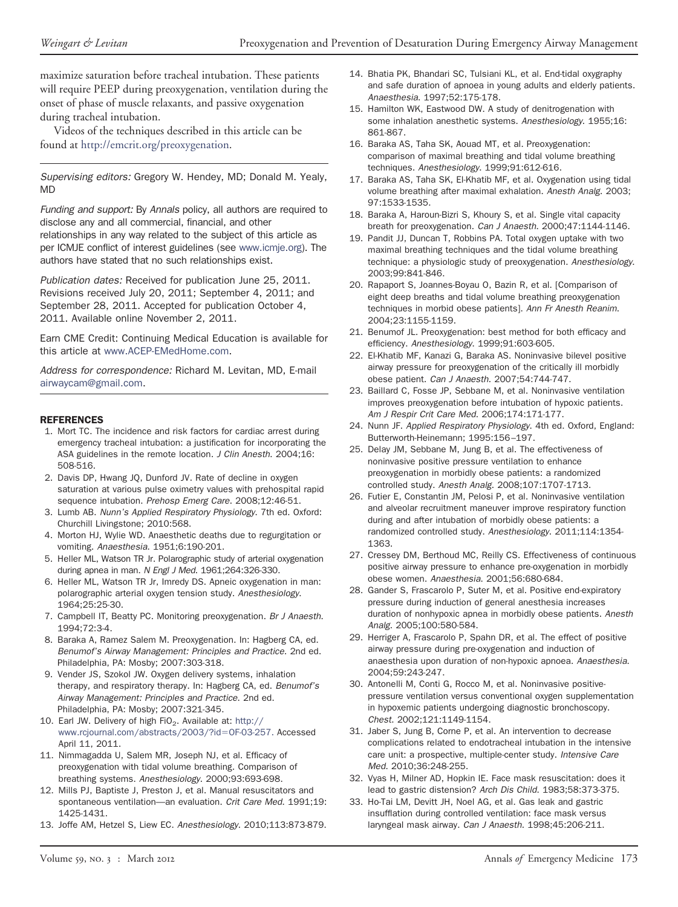maximize saturation before tracheal intubation. These patients will require PEEP during preoxygenation, ventilation during the onset of phase of muscle relaxants, and passive oxygenation during tracheal intubation.

Videos of the techniques described in this article can be found at [http://emcrit.org/preoxygenation.](http://emcrit.org/preoxygenation)

*Supervising editors:* Gregory W. Hendey, MD; Donald M. Yealy, MD

*Funding and support:* By *Annals* policy, all authors are required to disclose any and all commercial, financial, and other relationships in any way related to the subject of this article as per ICMJE conflict of interest guidelines (see [www.icmje.org\)](http://www.icmje.org). The authors have stated that no such relationships exist.

*Publication dates:* Received for publication June 25, 2011. Revisions received July 20, 2011; September 4, 2011; and September 28, 2011. Accepted for publication October 4, 2011. Available online November 2, 2011.

Earn CME Credit: Continuing Medical Education is available for this article at [www.ACEP-EMedHome.com.](http://www.ACEP-EMedHome.com)

*Address for correspondence:* Richard M. Levitan, MD, E-mail [airwaycam@gmail.com.](mailto:airwaycam@gmail.com)

#### <span id="page-8-0"></span>REFERENCES

- 1. Mort TC. The incidence and risk factors for cardiac arrest during emergency tracheal intubation: a justification for incorporating the ASA guidelines in the remote location. *J Clin Anesth*. 2004;16: 508-516.
- <span id="page-8-16"></span>2. Davis DP, Hwang JQ, Dunford JV. Rate of decline in oxygen saturation at various pulse oximetry values with prehospital rapid sequence intubation. *Prehosp Emerg Care*. 2008;12:46-51.
- <span id="page-8-2"></span><span id="page-8-1"></span>3. Lumb AB. *Nunn's Applied Respiratory Physiology*. 7th ed. Oxford: Churchill Livingstone; 2010:568.
- <span id="page-8-3"></span>4. Morton HJ, Wylie WD. Anaesthetic deaths due to regurgitation or vomiting. *Anaesthesia*. 1951;6:190-201.
- <span id="page-8-4"></span>5. Heller ML, Watson TR Jr. Polarographic study of arterial oxygenation during apnea in man. *N Engl J Med*. 1961;264:326-330.
- 6. Heller ML, Watson TR Jr, Imredy DS. Apneic oxygenation in man: polarographic arterial oxygen tension study. *Anesthesiology*. 1964;25:25-30.
- <span id="page-8-6"></span><span id="page-8-5"></span>7. Campbell IT, Beatty PC. Monitoring preoxygenation. *Br J Anaesth*. 1994;72:3-4.
- 8. Baraka A, Ramez Salem M. Preoxygenation. In: Hagberg CA, ed. *Benumof's Airway Management: Principles and Practice*. 2nd ed. Philadelphia, PA: Mosby; 2007:303-318.
- <span id="page-8-7"></span>9. Vender JS, Szokol JW. Oxygen delivery systems, inhalation therapy, and respiratory therapy. In: Hagberg CA, ed. *Benumof's Airway Management: Principles and Practice*. 2nd ed. Philadelphia, PA: Mosby; 2007:321-345.
- <span id="page-8-8"></span>10. Earl JW. Delivery of high FiO<sub>2</sub>. Available at: [http://](http://www.rcjournal.com/abstracts/2003/?id=OF-03-257) [www.rcjournal.com/abstracts/2003/?id](http://www.rcjournal.com/abstracts/2003/?id=OF-03-257)=0F-03-257. Accessed April 11, 2011.
- <span id="page-8-9"></span>11. Nimmagadda U, Salem MR, Joseph NJ, et al. Efficacy of preoxygenation with tidal volume breathing. Comparison of breathing systems. *Anesthesiology*. 2000;93:693-698.
- 12. Mills PJ, Baptiste J, Preston J, et al. Manual resuscitators and spontaneous ventilation—an evaluation. *Crit Care Med*. 1991;19: 1425-1431.
- <span id="page-8-10"></span>13. Joffe AM, Hetzel S, Liew EC. *Anesthesiology*. 2010;113:873-879.
- <span id="page-8-11"></span>14. Bhatia PK, Bhandari SC, Tulsiani KL, et al. End-tidal oxygraphy and safe duration of apnoea in young adults and elderly patients. *Anaesthesia*. 1997;52:175-178.
- <span id="page-8-12"></span>15. Hamilton WK, Eastwood DW. A study of denitrogenation with some inhalation anesthetic systems. *Anesthesiology*. 1955;16: 861-867.
- <span id="page-8-14"></span>16. Baraka AS, Taha SK, Aouad MT, et al. Preoxygenation: comparison of maximal breathing and tidal volume breathing techniques. *Anesthesiology*. 1999;91:612-616.
- <span id="page-8-13"></span>17. Baraka AS, Taha SK, El-Khatib MF, et al. Oxygenation using tidal volume breathing after maximal exhalation. *Anesth Analg*. 2003; 97:1533-1535.
- 18. Baraka A, Haroun-Bizri S, Khoury S, et al. Single vital capacity breath for preoxygenation. *Can J Anaesth*. 2000;47:1144-1146.
- 19. Pandit JJ, Duncan T, Robbins PA. Total oxygen uptake with two maximal breathing techniques and the tidal volume breathing technique: a physiologic study of preoxygenation. *Anesthesiology*. 2003;99:841-846.
- 20. Rapaport S, Joannes-Boyau O, Bazin R, et al. [Comparison of eight deep breaths and tidal volume breathing preoxygenation techniques in morbid obese patients]. *Ann Fr Anesth Reanim*. 2004;23:1155-1159.
- <span id="page-8-15"></span>21. Benumof JL. Preoxygenation: best method for both efficacy and efficiency. *Anesthesiology*. 1999;91:603-605.
- 22. El-Khatib MF, Kanazi G, Baraka AS. Noninvasive bilevel positive airway pressure for preoxygenation of the critically ill morbidly obese patient. *Can J Anaesth*. 2007;54:744-747.
- <span id="page-8-18"></span>23. Baillard C, Fosse JP, Sebbane M, et al. Noninvasive ventilation improves preoxygenation before intubation of hypoxic patients. *Am J Respir Crit Care Med*. 2006;174:171-177.
- <span id="page-8-20"></span><span id="page-8-17"></span>24. Nunn JF. *Applied Respiratory Physiology*. 4th ed. Oxford, England: Butterworth-Heinemann; 1995:156 –197.
- 25. Delay JM, Sebbane M, Jung B, et al. The effectiveness of noninvasive positive pressure ventilation to enhance preoxygenation in morbidly obese patients: a randomized controlled study. *Anesth Analg*. 2008;107:1707-1713.
- <span id="page-8-22"></span>26. Futier E, Constantin JM, Pelosi P, et al. Noninvasive ventilation and alveolar recruitment maneuver improve respiratory function during and after intubation of morbidly obese patients: a randomized controlled study. *Anesthesiology*. 2011;114:1354- 1363.
- <span id="page-8-19"></span>27. Cressey DM, Berthoud MC, Reilly CS. Effectiveness of continuous positive airway pressure to enhance pre-oxygenation in morbidly obese women. *Anaesthesia*. 2001;56:680-684.
- <span id="page-8-23"></span>28. Gander S, Frascarolo P, Suter M, et al. Positive end-expiratory pressure during induction of general anesthesia increases duration of nonhypoxic apnea in morbidly obese patients. *Anesth Analg*. 2005;100:580-584.
- <span id="page-8-24"></span>29. Herriger A, Frascarolo P, Spahn DR, et al. The effect of positive airway pressure during pre-oxygenation and induction of anaesthesia upon duration of non-hypoxic apnoea. *Anaesthesia*. 2004;59:243-247.
- <span id="page-8-25"></span>30. Antonelli M, Conti G, Rocco M, et al. Noninvasive positivepressure ventilation versus conventional oxygen supplementation in hypoxemic patients undergoing diagnostic bronchoscopy. *Chest*. 2002;121:1149-1154.
- <span id="page-8-26"></span>31. Jaber S, Jung B, Corne P, et al. An intervention to decrease complications related to endotracheal intubation in the intensive care unit: a prospective, multiple-center study. *Intensive Care Med*. 2010;36:248-255.
- <span id="page-8-21"></span>32. Vyas H, Milner AD, Hopkin IE. Face mask resuscitation: does it lead to gastric distension? *Arch Dis Child*. 1983;58:373-375.
- 33. Ho-Tai LM, Devitt JH, Noel AG, et al. Gas leak and gastric insufflation during controlled ventilation: face mask versus laryngeal mask airway. *Can J Anaesth*. 1998;45:206-211.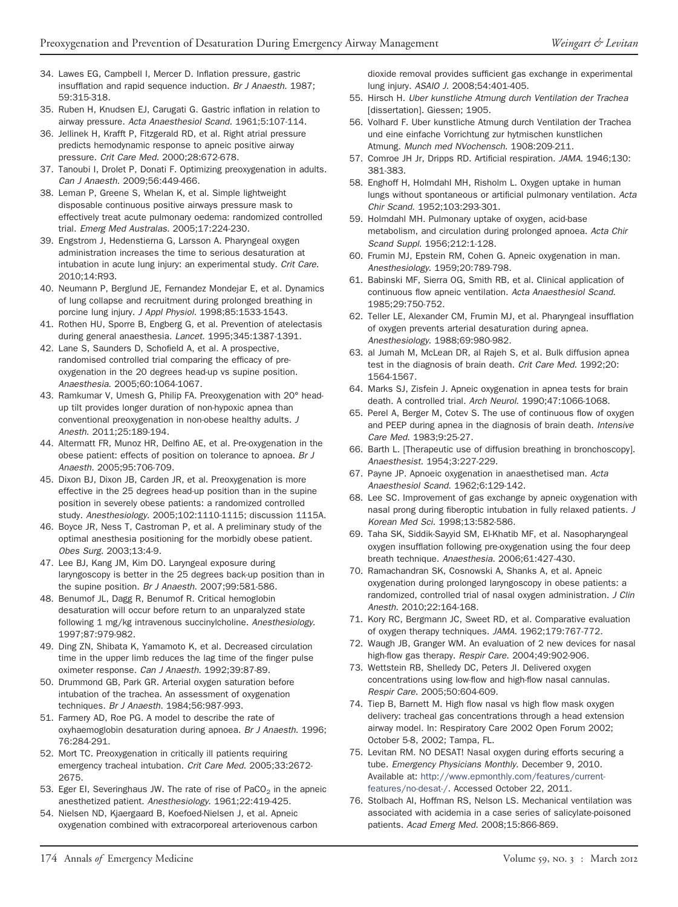- <span id="page-9-30"></span>34. Lawes EG, Campbell I, Mercer D. Inflation pressure, gastric insufflation and rapid sequence induction. *Br J Anaesth*. 1987; 59:315-318.
- 35. Ruben H, Knudsen EJ, Carugati G. Gastric inflation in relation to airway pressure. *Acta Anaesthesiol Scand*. 1961;5:107-114.
- <span id="page-9-0"></span>36. Jellinek H, Krafft P, Fitzgerald RD, et al. Right atrial pressure predicts hemodynamic response to apneic positive airway pressure. *Crit Care Med*. 2000;28:672-678.
- <span id="page-9-1"></span>37. Tanoubi I, Drolet P, Donati F. Optimizing preoxygenation in adults. *Can J Anaesth*. 2009;56:449-466.
- <span id="page-9-2"></span>38. Leman P, Greene S, Whelan K, et al. Simple lightweight disposable continuous positive airways pressure mask to effectively treat acute pulmonary oedema: randomized controlled trial. *Emerg Med Australas*. 2005;17:224-230.
- <span id="page-9-3"></span>39. Engstrom J, Hedenstierna G, Larsson A. Pharyngeal oxygen administration increases the time to serious desaturation at intubation in acute lung injury: an experimental study. *Crit Care*. 2010;14:R93.
- <span id="page-9-4"></span>40. Neumann P, Berglund JE, Fernandez Mondejar E, et al. Dynamics of lung collapse and recruitment during prolonged breathing in porcine lung injury. *J Appl Physiol*. 1998;85:1533-1543.
- <span id="page-9-6"></span><span id="page-9-5"></span>41. Rothen HU, Sporre B, Engberg G, et al. Prevention of atelectasis during general anaesthesia. *Lancet*. 1995;345:1387-1391.
- 42. Lane S, Saunders D, Schofield A, et al. A prospective, randomised controlled trial comparing the efficacy of preoxygenation in the 20 degrees head-up vs supine position. *Anaesthesia*. 2005;60:1064-1067.
- <span id="page-9-7"></span>43. Ramkumar V, Umesh G, Philip FA. Preoxygenation with 20° headup tilt provides longer duration of non-hypoxic apnea than conventional preoxygenation in non-obese healthy adults. *J Anesth*. 2011;25:189-194.
- <span id="page-9-8"></span>44. Altermatt FR, Munoz HR, Delfino AE, et al. Pre-oxygenation in the obese patient: effects of position on tolerance to apnoea. *Br J Anaesth*. 2005;95:706-709.
- <span id="page-9-9"></span>45. Dixon BJ, Dixon JB, Carden JR, et al. Preoxygenation is more effective in the 25 degrees head-up position than in the supine position in severely obese patients: a randomized controlled study. *Anesthesiology*. 2005;102:1110-1115; discussion 1115A.
- <span id="page-9-10"></span>46. Boyce JR, Ness T, Castroman P, et al. A preliminary study of the optimal anesthesia positioning for the morbidly obese patient. *Obes Surg*. 2003;13:4-9.
- <span id="page-9-11"></span>47. Lee BJ, Kang JM, Kim DO. Laryngeal exposure during laryngoscopy is better in the 25 degrees back-up position than in the supine position. *Br J Anaesth*. 2007;99:581-586.
- <span id="page-9-12"></span>48. Benumof JL, Dagg R, Benumof R. Critical hemoglobin desaturation will occur before return to an unparalyzed state following 1 mg/kg intravenous succinylcholine. *Anesthesiology*. 1997;87:979-982.
- <span id="page-9-13"></span>49. Ding ZN, Shibata K, Yamamoto K, et al. Decreased circulation time in the upper limb reduces the lag time of the finger pulse oximeter response. *Can J Anaesth*. 1992;39:87-89.
- <span id="page-9-14"></span>50. Drummond GB, Park GR. Arterial oxygen saturation before intubation of the trachea. An assessment of oxygenation techniques. *Br J Anaesth*. 1984;56:987-993.
- <span id="page-9-15"></span>51. Farmery AD, Roe PG. A model to describe the rate of oxyhaemoglobin desaturation during apnoea. *Br J Anaesth*. 1996; 76:284-291.
- <span id="page-9-16"></span>52. Mort TC. Preoxygenation in critically ill patients requiring emergency tracheal intubation. *Crit Care Med*. 2005;33:2672- 2675.
- <span id="page-9-18"></span><span id="page-9-17"></span>53. Eger EI, Severinghaus JW. The rate of rise of PaCO<sub>2</sub> in the apneic anesthetized patient. *Anesthesiology*. 1961;22:419-425.
- 54. Nielsen ND, Kjaergaard B, Koefoed-Nielsen J, et al. Apneic oxygenation combined with extracorporeal arteriovenous carbon

dioxide removal provides sufficient gas exchange in experimental lung injury. *ASAIO J*. 2008;54:401-405.

- <span id="page-9-19"></span>55. Hirsch H. *Uber kunstliche Atmung durch Ventilation der Trachea* [dissertation]. Giessen; 1905.
- 56. Volhard F. Uber kunstliche Atmung durch Ventilation der Trachea und eine einfache Vorrichtung zur hytmischen kunstlichen Atmung. *Munch med NVochensch*. 1908:209-211.
- <span id="page-9-31"></span>57. Comroe JH Jr, Dripps RD. Artificial respiration. *JAMA*. 1946;130: 381-383.
- <span id="page-9-32"></span>58. Enghoff H, Holmdahl MH, Risholm L. Oxygen uptake in human lungs without spontaneous or artificial pulmonary ventilation. *Acta Chir Scand*. 1952;103:293-301.
- <span id="page-9-33"></span>59. Holmdahl MH. Pulmonary uptake of oxygen, acid-base metabolism, and circulation during prolonged apnoea. *Acta Chir Scand Suppl*. 1956;212:1-128.
- <span id="page-9-34"></span>60. Frumin MJ, Epstein RM, Cohen G. Apneic oxygenation in man. *Anesthesiology*. 1959;20:789-798.
- <span id="page-9-35"></span>61. Babinski MF, Sierra OG, Smith RB, et al. Clinical application of continuous flow apneic ventilation. *Acta Anaesthesiol Scand*. 1985;29:750-752.
- <span id="page-9-36"></span>62. Teller LE, Alexander CM, Frumin MJ, et al. Pharyngeal insufflation of oxygen prevents arterial desaturation during apnea. *Anesthesiology*. 1988;69:980-982.
- <span id="page-9-20"></span>63. al Jumah M, McLean DR, al Rajeh S, et al. Bulk diffusion apnea test in the diagnosis of brain death. *Crit Care Med*. 1992;20: 1564-1567.
- 64. Marks SJ, Zisfein J. Apneic oxygenation in apnea tests for brain death. A controlled trial. *Arch Neurol*. 1990;47:1066-1068.
- 65. Perel A, Berger M, Cotev S. The use of continuous flow of oxygen and PEEP during apnea in the diagnosis of brain death. *Intensive Care Med*. 1983;9:25-27.
- <span id="page-9-21"></span>66. Barth L. [Therapeutic use of diffusion breathing in bronchoscopy]. *Anaesthesist*. 1954;3:227-229.
- 67. Payne JP. Apnoeic oxygenation in anaesthetised man. *Acta Anaesthesiol Scand*. 1962;6:129-142.
- 68. Lee SC. Improvement of gas exchange by apneic oxygenation with nasal prong during fiberoptic intubation in fully relaxed patients. *J Korean Med Sci*. 1998;13:582-586.
- <span id="page-9-22"></span>69. Taha SK, Siddik-Sayyid SM, El-Khatib MF, et al. Nasopharyngeal oxygen insufflation following pre-oxygenation using the four deep breath technique. *Anaesthesia*. 2006;61:427-430.
- <span id="page-9-23"></span>70. Ramachandran SK, Cosnowski A, Shanks A, et al. Apneic oxygenation during prolonged laryngoscopy in obese patients: a randomized, controlled trial of nasal oxygen administration. *J Clin Anesth*. 2010;22:164-168.
- <span id="page-9-25"></span><span id="page-9-24"></span>71. Kory RC, Bergmann JC, Sweet RD, et al. Comparative evaluation of oxygen therapy techniques. *JAMA*. 1962;179:767-772.
- <span id="page-9-26"></span>72. Waugh JB, Granger WM. An evaluation of 2 new devices for nasal high-flow gas therapy. *Respir Care*. 2004;49:902-906.
- 73. Wettstein RB, Shelledy DC, Peters JI. Delivered oxygen concentrations using low-flow and high-flow nasal cannulas. *Respir Care*. 2005;50:604-609.
- <span id="page-9-27"></span>74. Tiep B, Barnett M. High flow nasal vs high flow mask oxygen delivery: tracheal gas concentrations through a head extension airway model. In: Respiratory Care 2002 Open Forum 2002; October 5-8, 2002; Tampa, FL.
- <span id="page-9-28"></span>75. Levitan RM. NO DESAT! Nasal oxygen during efforts securing a tube. *Emergency Physicians Monthly*. December 9, 2010. Available at: [http://www.epmonthly.com/features/current](http://www.epmonthly.com/features/current-features/no-desat-/)[features/no-desat-/.](http://www.epmonthly.com/features/current-features/no-desat-/) Accessed October 22, 2011.
- <span id="page-9-29"></span>76. Stolbach AI, Hoffman RS, Nelson LS. Mechanical ventilation was associated with acidemia in a case series of salicylate-poisoned patients. *Acad Emerg Med*. 2008;15:866-869.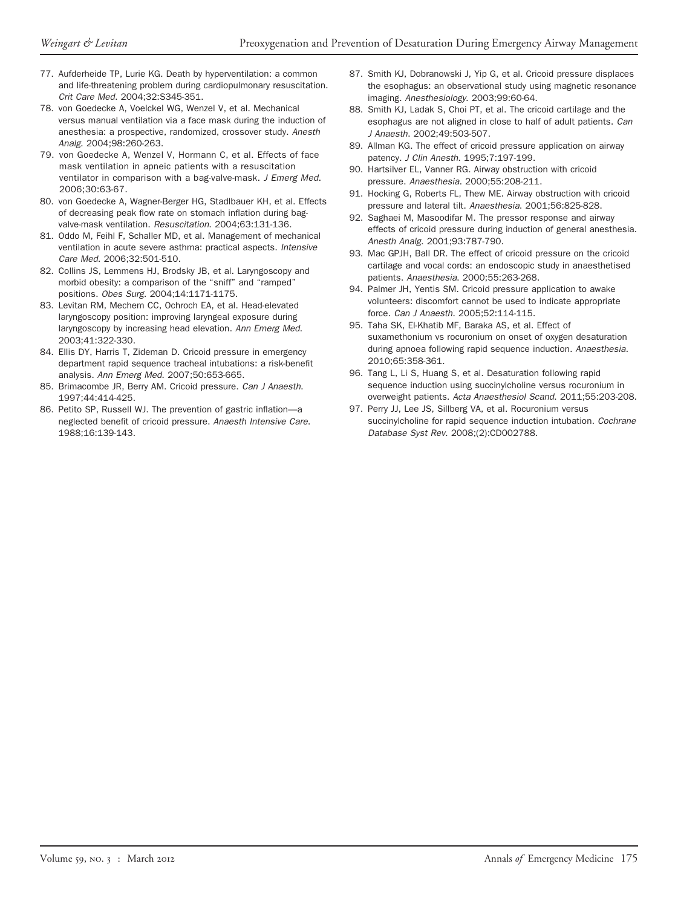- <span id="page-10-0"></span>77. Aufderheide TP, Lurie KG. Death by hyperventilation: a common and life-threatening problem during cardiopulmonary resuscitation. *Crit Care Med*. 2004;32:S345-351.
- <span id="page-10-1"></span>78. von Goedecke A, Voelckel WG, Wenzel V, et al. Mechanical versus manual ventilation via a face mask during the induction of anesthesia: a prospective, randomized, crossover study. *Anesth Analg*. 2004;98:260-263.
- 79. von Goedecke A, Wenzel V, Hormann C, et al. Effects of face mask ventilation in apneic patients with a resuscitation ventilator in comparison with a bag-valve-mask. *J Emerg Med*. 2006;30:63-67.
- <span id="page-10-2"></span>80. von Goedecke A, Wagner-Berger HG, Stadlbauer KH, et al. Effects of decreasing peak flow rate on stomach inflation during bagvalve-mask ventilation. *Resuscitation*. 2004;63:131-136.
- <span id="page-10-3"></span>81. Oddo M, Feihl F, Schaller MD, et al. Management of mechanical ventilation in acute severe asthma: practical aspects. *Intensive Care Med*. 2006;32:501-510.
- <span id="page-10-4"></span>82. Collins JS, Lemmens HJ, Brodsky JB, et al. Laryngoscopy and morbid obesity: a comparison of the "sniff" and "ramped" positions. *Obes Surg*. 2004;14:1171-1175.
- 83. Levitan RM, Mechem CC, Ochroch EA, et al. Head-elevated laryngoscopy position: improving laryngeal exposure during laryngoscopy by increasing head elevation. *Ann Emerg Med*. 2003;41:322-330.
- <span id="page-10-5"></span>84. Ellis DY, Harris T, Zideman D. Cricoid pressure in emergency department rapid sequence tracheal intubations: a risk-benefit analysis. *Ann Emerg Med*. 2007;50:653-665.
- <span id="page-10-6"></span>85. Brimacombe JR, Berry AM. Cricoid pressure. *Can J Anaesth*. 1997;44:414-425.
- 86. Petito SP, Russell WJ. The prevention of gastric inflation—a neglected benefit of cricoid pressure. *Anaesth Intensive Care*. 1988;16:139-143.
- <span id="page-10-7"></span>87. Smith KJ, Dobranowski J, Yip G, et al. Cricoid pressure displaces the esophagus: an observational study using magnetic resonance imaging. *Anesthesiology*. 2003;99:60-64.
- 88. Smith KJ, Ladak S, Choi PT, et al. The cricoid cartilage and the esophagus are not aligned in close to half of adult patients. *Can J Anaesth*. 2002;49:503-507.
- 89. Allman KG. The effect of cricoid pressure application on airway patency. *J Clin Anesth*. 1995;7:197-199.
- 90. Hartsilver EL, Vanner RG. Airway obstruction with cricoid pressure. *Anaesthesia*. 2000;55:208-211.
- 91. Hocking G, Roberts FL, Thew ME. Airway obstruction with cricoid pressure and lateral tilt. *Anaesthesia*. 2001;56:825-828.
- 92. Saghaei M, Masoodifar M. The pressor response and airway effects of cricoid pressure during induction of general anesthesia. *Anesth Analg*. 2001;93:787-790.
- 93. Mac GPJH, Ball DR. The effect of cricoid pressure on the cricoid cartilage and vocal cords: an endoscopic study in anaesthetised patients. *Anaesthesia*. 2000;55:263-268.
- 94. Palmer JH, Yentis SM. Cricoid pressure application to awake volunteers: discomfort cannot be used to indicate appropriate force. *Can J Anaesth*. 2005;52:114-115.
- <span id="page-10-8"></span>95. Taha SK, El-Khatib MF, Baraka AS, et al. Effect of suxamethonium vs rocuronium on onset of oxygen desaturation during apnoea following rapid sequence induction. *Anaesthesia*. 2010;65:358-361.
- <span id="page-10-9"></span>96. Tang L, Li S, Huang S, et al. Desaturation following rapid sequence induction using succinylcholine versus rocuronium in overweight patients. *Acta Anaesthesiol Scand*. 2011;55:203-208.
- <span id="page-10-10"></span>97. Perry JJ, Lee JS, Sillberg VA, et al. Rocuronium versus succinylcholine for rapid sequence induction intubation. *Cochrane Database Syst Rev*. 2008;(2):CD002788.